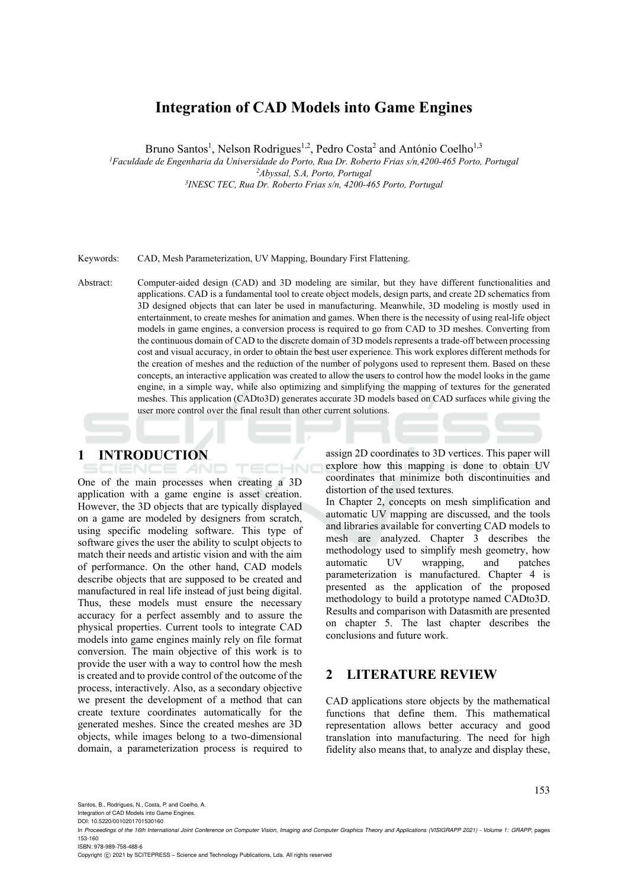# **Integration of CAD Models into Game Engines**

Bruno Santos<sup>1</sup>, Nelson Rodrigues<sup>1,2</sup>, Pedro Costa<sup>2</sup> and António Coelho<sup>1,3</sup>

*1 Faculdade de Engenharia da Universidade do Porto, Rua Dr. Roberto Frias s/n,4200-465 Porto, Portugal 2*

*Abyssal, S.A, Porto, Portugal 3 INESC TEC, Rua Dr. Roberto Frias s/n, 4200-465 Porto, Portugal* 

Keywords: CAD, Mesh Parameterization, UV Mapping, Boundary First Flattening.

Abstract: Computer-aided design (CAD) and 3D modeling are similar, but they have different functionalities and applications. CAD is a fundamental tool to create object models, design parts, and create 2D schematics from 3D designed objects that can later be used in manufacturing. Meanwhile, 3D modeling is mostly used in entertainment, to create meshes for animation and games. When there is the necessity of using real-life object models in game engines, a conversion process is required to go from CAD to 3D meshes. Converting from the continuous domain of CAD to the discrete domain of 3D models represents a trade-off between processing cost and visual accuracy, in order to obtain the best user experience. This work explores different methods for the creation of meshes and the reduction of the number of polygons used to represent them. Based on these concepts, an interactive application was created to allow the users to control how the model looks in the game engine, in a simple way, while also optimizing and simplifying the mapping of textures for the generated meshes. This application (CADto3D) generates accurate 3D models based on CAD surfaces while giving the user more control over the final result than other current solutions.

**1 INTRODUCTION** 

ECHNO One of the main processes when creating a 3D application with a game engine is asset creation. However, the 3D objects that are typically displayed on a game are modeled by designers from scratch, using specific modeling software. This type of software gives the user the ability to sculpt objects to match their needs and artistic vision and with the aim of performance. On the other hand, CAD models describe objects that are supposed to be created and manufactured in real life instead of just being digital. Thus, these models must ensure the necessary accuracy for a perfect assembly and to assure the physical properties. Current tools to integrate CAD models into game engines mainly rely on file format conversion. The main objective of this work is to provide the user with a way to control how the mesh is created and to provide control of the outcome of the process, interactively. Also, as a secondary objective we present the development of a method that can create texture coordinates automatically for the generated meshes. Since the created meshes are 3D objects, while images belong to a two-dimensional domain, a parameterization process is required to

**AND** 

assign 2D coordinates to 3D vertices. This paper will explore how this mapping is done to obtain UV coordinates that minimize both discontinuities and distortion of the used textures.

In Chapter 2, concepts on mesh simplification and automatic UV mapping are discussed, and the tools and libraries available for converting CAD models to mesh are analyzed. Chapter 3 describes the methodology used to simplify mesh geometry, how<br>automatic UV wrapping, and patches automatic UV wrapping, and parameterization is manufactured. Chapter 4 is presented as the application of the proposed methodology to build a prototype named CADto3D. Results and comparison with Datasmith are presented on chapter 5. The last chapter describes the conclusions and future work.

## **2 LITERATURE REVIEW**

CAD applications store objects by the mathematical functions that define them. This mathematical representation allows better accuracy and good translation into manufacturing. The need for high fidelity also means that, to analyze and display these,

Santos, B., Rodrigues, N., Costa, P. and Coelho, A.

Integration of CAD Models into Game Engines. DOI: 10.5220/0010201701530160

In *Proceedings of the 16th International Joint Conference on Computer Vision, Imaging and Computer Graphics Theory and Applications (VISIGRAPP 2021) - Volume 1: GRAPP*, pages 153-160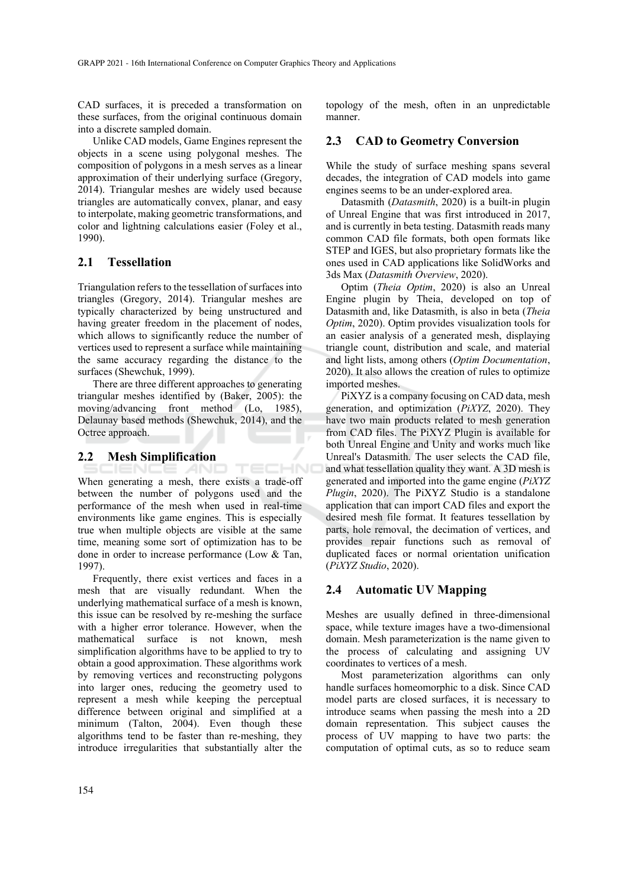CAD surfaces, it is preceded a transformation on these surfaces, from the original continuous domain into a discrete sampled domain.

Unlike CAD models, Game Engines represent the objects in a scene using polygonal meshes. The composition of polygons in a mesh serves as a linear approximation of their underlying surface (Gregory, 2014). Triangular meshes are widely used because triangles are automatically convex, planar, and easy to interpolate, making geometric transformations, and color and lightning calculations easier (Foley et al., 1990).

### **2.1 Tessellation**

Triangulation refers to the tessellation of surfaces into triangles (Gregory, 2014). Triangular meshes are typically characterized by being unstructured and having greater freedom in the placement of nodes, which allows to significantly reduce the number of vertices used to represent a surface while maintaining the same accuracy regarding the distance to the surfaces (Shewchuk, 1999).

There are three different approaches to generating triangular meshes identified by (Baker, 2005): the moving/advancing front method (Lo, 1985), Delaunay based methods (Shewchuk, 2014), and the Octree approach.

#### **2.2 Mesh Simplification**

IENCE *A*ND

TECHNO When generating a mesh, there exists a trade-off between the number of polygons used and the performance of the mesh when used in real-time environments like game engines. This is especially true when multiple objects are visible at the same time, meaning some sort of optimization has to be done in order to increase performance (Low & Tan, 1997).

Frequently, there exist vertices and faces in a mesh that are visually redundant. When the underlying mathematical surface of a mesh is known, this issue can be resolved by re-meshing the surface with a higher error tolerance. However, when the mathematical surface is not known, mesh simplification algorithms have to be applied to try to obtain a good approximation. These algorithms work by removing vertices and reconstructing polygons into larger ones, reducing the geometry used to represent a mesh while keeping the perceptual difference between original and simplified at a minimum (Talton, 2004). Even though these algorithms tend to be faster than re-meshing, they introduce irregularities that substantially alter the

topology of the mesh, often in an unpredictable manner.

### **2.3 CAD to Geometry Conversion**

While the study of surface meshing spans several decades, the integration of CAD models into game engines seems to be an under-explored area.

Datasmith (*Datasmith*, 2020) is a built-in plugin of Unreal Engine that was first introduced in 2017, and is currently in beta testing. Datasmith reads many common CAD file formats, both open formats like STEP and IGES, but also proprietary formats like the ones used in CAD applications like SolidWorks and 3ds Max (*Datasmith Overview*, 2020).

Optim (*Theia Optim*, 2020) is also an Unreal Engine plugin by Theia, developed on top of Datasmith and, like Datasmith, is also in beta (*Theia Optim*, 2020). Optim provides visualization tools for an easier analysis of a generated mesh, displaying triangle count, distribution and scale, and material and light lists, among others (*Optim Documentation*, 2020). It also allows the creation of rules to optimize imported meshes.

PiXYZ is a company focusing on CAD data, mesh generation, and optimization (*PiXYZ*, 2020). They have two main products related to mesh generation from CAD files. The PiXYZ Plugin is available for both Unreal Engine and Unity and works much like Unreal's Datasmith. The user selects the CAD file, and what tessellation quality they want. A 3D mesh is generated and imported into the game engine (*PiXYZ Plugin*, 2020). The PiXYZ Studio is a standalone application that can import CAD files and export the desired mesh file format. It features tessellation by parts, hole removal, the decimation of vertices, and provides repair functions such as removal of duplicated faces or normal orientation unification (*PiXYZ Studio*, 2020).

### **2.4 Automatic UV Mapping**

Meshes are usually defined in three-dimensional space, while texture images have a two-dimensional domain. Mesh parameterization is the name given to the process of calculating and assigning UV coordinates to vertices of a mesh.

Most parameterization algorithms can only handle surfaces homeomorphic to a disk. Since CAD model parts are closed surfaces, it is necessary to introduce seams when passing the mesh into a 2D domain representation. This subject causes the process of UV mapping to have two parts: the computation of optimal cuts, as so to reduce seam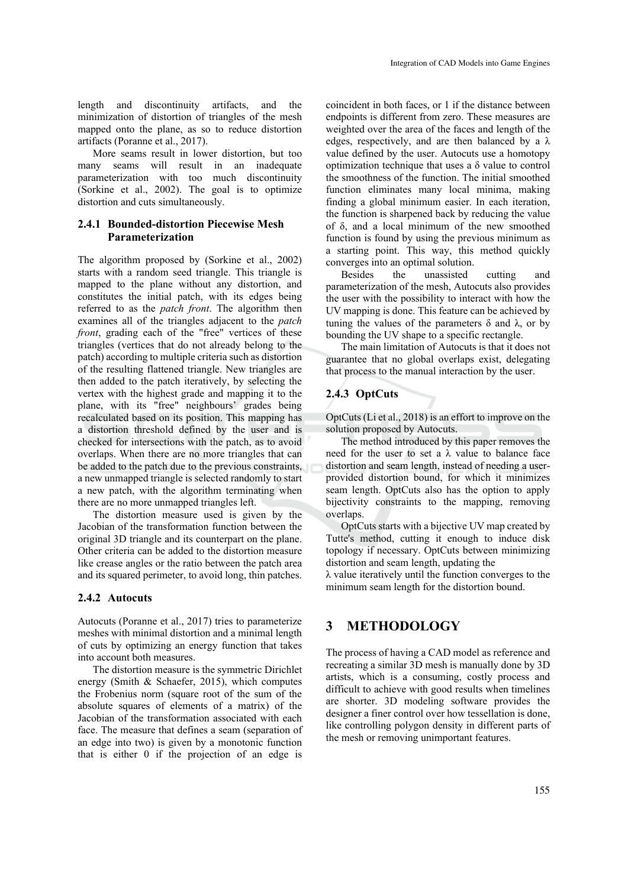length and discontinuity artifacts, and the minimization of distortion of triangles of the mesh mapped onto the plane, as so to reduce distortion artifacts (Poranne et al., 2017).

More seams result in lower distortion, but too many seams will result in an inadequate parameterization with too much discontinuity (Sorkine et al., 2002). The goal is to optimize distortion and cuts simultaneously.

#### **2.4.1 Bounded-distortion Piecewise Mesh Parameterization**

The algorithm proposed by (Sorkine et al., 2002) starts with a random seed triangle. This triangle is mapped to the plane without any distortion, and constitutes the initial patch, with its edges being referred to as the *patch front*. The algorithm then examines all of the triangles adjacent to the *patch front*, grading each of the "free" vertices of these triangles (vertices that do not already belong to the patch) according to multiple criteria such as distortion of the resulting flattened triangle. New triangles are then added to the patch iteratively, by selecting the vertex with the highest grade and mapping it to the plane, with its "free" neighbours' grades being recalculated based on its position. This mapping has a distortion threshold defined by the user and is checked for intersections with the patch, as to avoid overlaps. When there are no more triangles that can be added to the patch due to the previous constraints, a new unmapped triangle is selected randomly to start a new patch, with the algorithm terminating when there are no more unmapped triangles left.

The distortion measure used is given by the Jacobian of the transformation function between the original 3D triangle and its counterpart on the plane. Other criteria can be added to the distortion measure like crease angles or the ratio between the patch area and its squared perimeter, to avoid long, thin patches.

#### **2.4.2 Autocuts**

Autocuts (Poranne et al., 2017) tries to parameterize meshes with minimal distortion and a minimal length of cuts by optimizing an energy function that takes into account both measures.

The distortion measure is the symmetric Dirichlet energy (Smith & Schaefer, 2015), which computes the Frobenius norm (square root of the sum of the absolute squares of elements of a matrix) of the Jacobian of the transformation associated with each face. The measure that defines a seam (separation of an edge into two) is given by a monotonic function that is either 0 if the projection of an edge is

coincident in both faces, or 1 if the distance between endpoints is different from zero. These measures are weighted over the area of the faces and length of the edges, respectively, and are then balanced by a  $\lambda$ value defined by the user. Autocuts use a homotopy optimization technique that uses a  $\delta$  value to control the smoothness of the function. The initial smoothed function eliminates many local minima, making finding a global minimum easier. In each iteration, the function is sharpened back by reducing the value of δ, and a local minimum of the new smoothed function is found by using the previous minimum as a starting point. This way, this method quickly converges into an optimal solution.

Besides the unassisted cutting and parameterization of the mesh, Autocuts also provides the user with the possibility to interact with how the UV mapping is done. This feature can be achieved by tuning the values of the parameters  $δ$  and  $λ$ , or by bounding the UV shape to a specific rectangle.

The main limitation of Autocuts is that it does not guarantee that no global overlaps exist, delegating that process to the manual interaction by the user.

## **2.4.3 OptCuts**

OptCuts (Li et al., 2018) is an effort to improve on the solution proposed by Autocuts.

The method introduced by this paper removes the need for the user to set a  $\lambda$  value to balance face distortion and seam length, instead of needing a userprovided distortion bound, for which it minimizes seam length. OptCuts also has the option to apply bijectivity constraints to the mapping, removing overlaps.

OptCuts starts with a bijective UV map created by Tutte's method, cutting it enough to induce disk topology if necessary. OptCuts between minimizing distortion and seam length, updating the

λ value iteratively until the function converges to the minimum seam length for the distortion bound.

## **3 METHODOLOGY**

The process of having a CAD model as reference and recreating a similar 3D mesh is manually done by 3D artists, which is a consuming, costly process and difficult to achieve with good results when timelines are shorter. 3D modeling software provides the designer a finer control over how tessellation is done, like controlling polygon density in different parts of the mesh or removing unimportant features.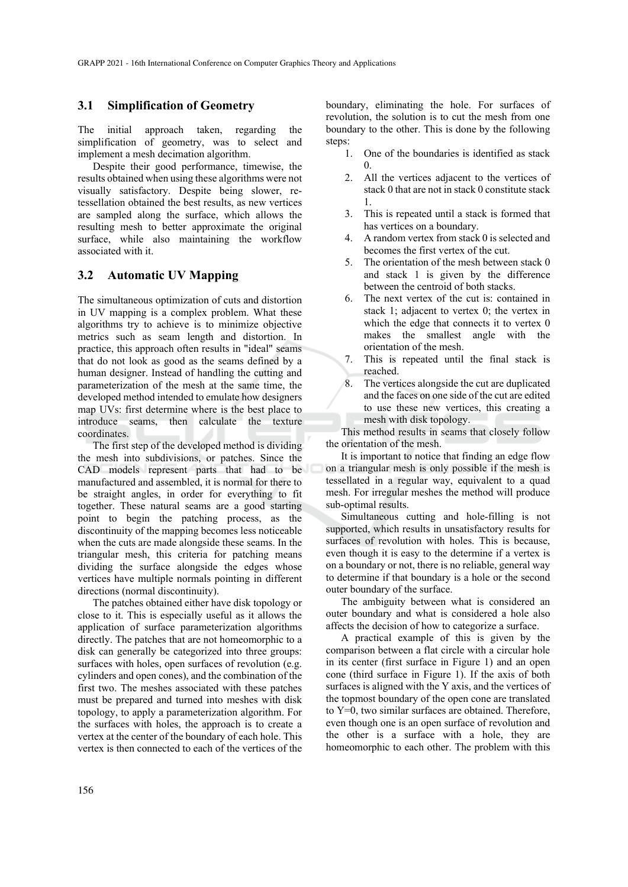#### **3.1 Simplification of Geometry**

The initial approach taken, regarding the simplification of geometry, was to select and implement a mesh decimation algorithm.

Despite their good performance, timewise, the results obtained when using these algorithms were not visually satisfactory. Despite being slower, retessellation obtained the best results, as new vertices are sampled along the surface, which allows the resulting mesh to better approximate the original surface, while also maintaining the workflow associated with it.

#### **3.2 Automatic UV Mapping**

The simultaneous optimization of cuts and distortion in UV mapping is a complex problem. What these algorithms try to achieve is to minimize objective metrics such as seam length and distortion. In practice, this approach often results in "ideal" seams that do not look as good as the seams defined by a human designer. Instead of handling the cutting and parameterization of the mesh at the same time, the developed method intended to emulate how designers map UVs: first determine where is the best place to introduce seams, then calculate the texture coordinates.

The first step of the developed method is dividing the mesh into subdivisions, or patches. Since the CAD models represent parts that had to be manufactured and assembled, it is normal for there to be straight angles, in order for everything to fit together. These natural seams are a good starting point to begin the patching process, as the discontinuity of the mapping becomes less noticeable when the cuts are made alongside these seams. In the triangular mesh, this criteria for patching means dividing the surface alongside the edges whose vertices have multiple normals pointing in different directions (normal discontinuity).

The patches obtained either have disk topology or close to it. This is especially useful as it allows the application of surface parameterization algorithms directly. The patches that are not homeomorphic to a disk can generally be categorized into three groups: surfaces with holes, open surfaces of revolution (e.g. cylinders and open cones), and the combination of the first two. The meshes associated with these patches must be prepared and turned into meshes with disk topology, to apply a parameterization algorithm. For the surfaces with holes, the approach is to create a vertex at the center of the boundary of each hole. This vertex is then connected to each of the vertices of the

boundary, eliminating the hole. For surfaces of revolution, the solution is to cut the mesh from one boundary to the other. This is done by the following steps:

- 1. One of the boundaries is identified as stack 0.
- 2. All the vertices adjacent to the vertices of stack 0 that are not in stack 0 constitute stack 1.
- 3. This is repeated until a stack is formed that has vertices on a boundary.
- 4. A random vertex from stack 0 is selected and becomes the first vertex of the cut.
- 5. The orientation of the mesh between stack 0 and stack 1 is given by the difference between the centroid of both stacks.
- 6. The next vertex of the cut is: contained in stack 1; adjacent to vertex 0; the vertex in which the edge that connects it to vertex 0 makes the smallest angle with the orientation of the mesh.
- 7. This is repeated until the final stack is reached.
- 8. The vertices alongside the cut are duplicated and the faces on one side of the cut are edited to use these new vertices, this creating a mesh with disk topology.

This method results in seams that closely follow the orientation of the mesh.

It is important to notice that finding an edge flow on a triangular mesh is only possible if the mesh is tessellated in a regular way, equivalent to a quad mesh. For irregular meshes the method will produce sub-optimal results.

Simultaneous cutting and hole-filling is not supported, which results in unsatisfactory results for surfaces of revolution with holes. This is because, even though it is easy to the determine if a vertex is on a boundary or not, there is no reliable, general way to determine if that boundary is a hole or the second outer boundary of the surface.

The ambiguity between what is considered an outer boundary and what is considered a hole also affects the decision of how to categorize a surface.

A practical example of this is given by the comparison between a flat circle with a circular hole in its center (first surface in Figure 1) and an open cone (third surface in Figure 1). If the axis of both surfaces is aligned with the Y axis, and the vertices of the topmost boundary of the open cone are translated to Y=0, two similar surfaces are obtained. Therefore, even though one is an open surface of revolution and the other is a surface with a hole, they are homeomorphic to each other. The problem with this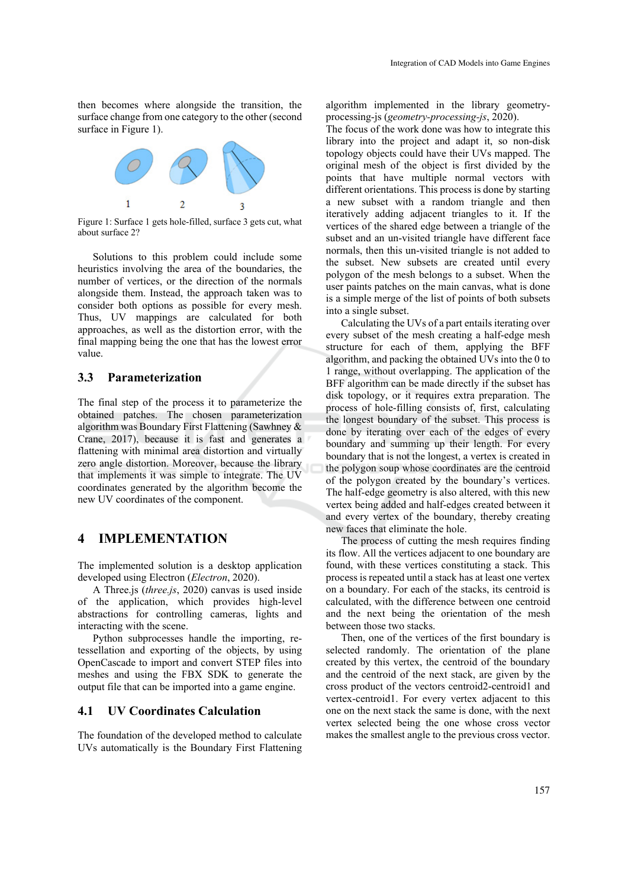then becomes where alongside the transition, the surface change from one category to the other (second surface in Figure 1).



Figure 1: Surface 1 gets hole-filled, surface 3 gets cut, what about surface 2?

Solutions to this problem could include some heuristics involving the area of the boundaries, the number of vertices, or the direction of the normals alongside them. Instead, the approach taken was to consider both options as possible for every mesh. Thus, UV mappings are calculated for both approaches, as well as the distortion error, with the final mapping being the one that has the lowest error value.

#### **3.3 Parameterization**

The final step of the process it to parameterize the obtained patches. The chosen parameterization algorithm was Boundary First Flattening (Sawhney & Crane, 2017), because it is fast and generates a flattening with minimal area distortion and virtually zero angle distortion. Moreover, because the library that implements it was simple to integrate. The UV coordinates generated by the algorithm become the new UV coordinates of the component.

## **4 IMPLEMENTATION**

The implemented solution is a desktop application developed using Electron (*Electron*, 2020).

A Three.js (*three.js*, 2020) canvas is used inside of the application, which provides high-level abstractions for controlling cameras, lights and interacting with the scene.

Python subprocesses handle the importing, retessellation and exporting of the objects, by using OpenCascade to import and convert STEP files into meshes and using the FBX SDK to generate the output file that can be imported into a game engine.

## **4.1 UV Coordinates Calculation**

The foundation of the developed method to calculate UVs automatically is the Boundary First Flattening

algorithm implemented in the library geometryprocessing-js (*geometry-processing-js*, 2020).

The focus of the work done was how to integrate this library into the project and adapt it, so non-disk topology objects could have their UVs mapped. The original mesh of the object is first divided by the points that have multiple normal vectors with different orientations. This process is done by starting a new subset with a random triangle and then iteratively adding adjacent triangles to it. If the vertices of the shared edge between a triangle of the subset and an un-visited triangle have different face normals, then this un-visited triangle is not added to the subset. New subsets are created until every polygon of the mesh belongs to a subset. When the user paints patches on the main canvas, what is done is a simple merge of the list of points of both subsets into a single subset.

Calculating the UVs of a part entails iterating over every subset of the mesh creating a half-edge mesh structure for each of them, applying the BFF algorithm, and packing the obtained UVs into the 0 to 1 range, without overlapping. The application of the BFF algorithm can be made directly if the subset has disk topology, or it requires extra preparation. The process of hole-filling consists of, first, calculating the longest boundary of the subset. This process is done by iterating over each of the edges of every boundary and summing up their length. For every boundary that is not the longest, a vertex is created in the polygon soup whose coordinates are the centroid of the polygon created by the boundary's vertices. The half-edge geometry is also altered, with this new vertex being added and half-edges created between it and every vertex of the boundary, thereby creating new faces that eliminate the hole.

The process of cutting the mesh requires finding its flow. All the vertices adjacent to one boundary are found, with these vertices constituting a stack. This process is repeated until a stack has at least one vertex on a boundary. For each of the stacks, its centroid is calculated, with the difference between one centroid and the next being the orientation of the mesh between those two stacks.

Then, one of the vertices of the first boundary is selected randomly. The orientation of the plane created by this vertex, the centroid of the boundary and the centroid of the next stack, are given by the cross product of the vectors centroid2-centroid1 and vertex-centroid1. For every vertex adjacent to this one on the next stack the same is done, with the next vertex selected being the one whose cross vector makes the smallest angle to the previous cross vector.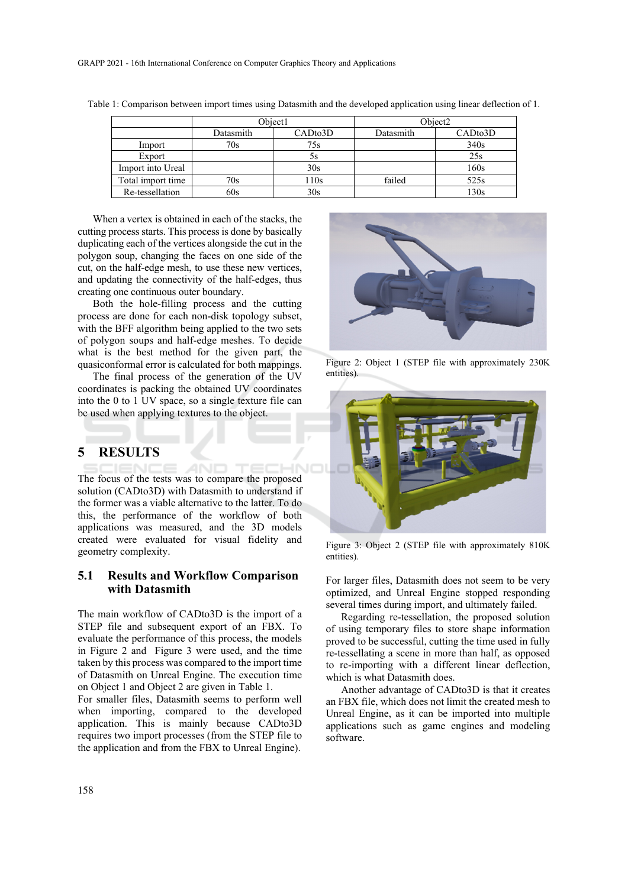|                   | Object1   |         | Object <sub>2</sub> |         |
|-------------------|-----------|---------|---------------------|---------|
|                   | Datasmith | CADto3D | Datasmith           | CADto3D |
| Import            | 70s       | 75s     |                     | 340s    |
| Export            |           | эs      |                     | 25s     |
| Import into Ureal |           | 30s     |                     | 160s    |
| Total import time | 70s       | 110s    | failed              | 525s    |
| Re-tessellation   | 60s       | 30s     |                     | 130s    |

Table 1: Comparison between import times using Datasmith and the developed application using linear deflection of 1.

When a vertex is obtained in each of the stacks, the cutting process starts. This process is done by basically duplicating each of the vertices alongside the cut in the polygon soup, changing the faces on one side of the cut, on the half-edge mesh, to use these new vertices, and updating the connectivity of the half-edges, thus creating one continuous outer boundary.

Both the hole-filling process and the cutting process are done for each non-disk topology subset, with the BFF algorithm being applied to the two sets of polygon soups and half-edge meshes. To decide what is the best method for the given part, the quasiconformal error is calculated for both mappings.

The final process of the generation of the UV coordinates is packing the obtained UV coordinates into the 0 to 1 UV space, so a single texture file can be used when applying textures to the object.

## **5 RESULTS**

**AND** The focus of the tests was to compare the proposed solution (CADto3D) with Datasmith to understand if the former was a viable alternative to the latter. To do this, the performance of the workflow of both applications was measured, and the 3D models created were evaluated for visual fidelity and geometry complexity.

### **5.1 Results and Workflow Comparison with Datasmith**

The main workflow of CADto3D is the import of a STEP file and subsequent export of an FBX. To evaluate the performance of this process, the models in Figure 2 and Figure 3 were used, and the time taken by this process was compared to the import time of Datasmith on Unreal Engine. The execution time on Object 1 and Object 2 are given in Table 1.

For smaller files, Datasmith seems to perform well when importing, compared to the developed application. This is mainly because CADto3D requires two import processes (from the STEP file to the application and from the FBX to Unreal Engine).



Figure 2: Object 1 (STEP file with approximately 230K entities).



Figure 3: Object 2 (STEP file with approximately 810K entities).

For larger files, Datasmith does not seem to be very optimized, and Unreal Engine stopped responding several times during import, and ultimately failed.

Regarding re-tessellation, the proposed solution of using temporary files to store shape information proved to be successful, cutting the time used in fully re-tessellating a scene in more than half, as opposed to re-importing with a different linear deflection, which is what Datasmith does.

Another advantage of CADto3D is that it creates an FBX file, which does not limit the created mesh to Unreal Engine, as it can be imported into multiple applications such as game engines and modeling software.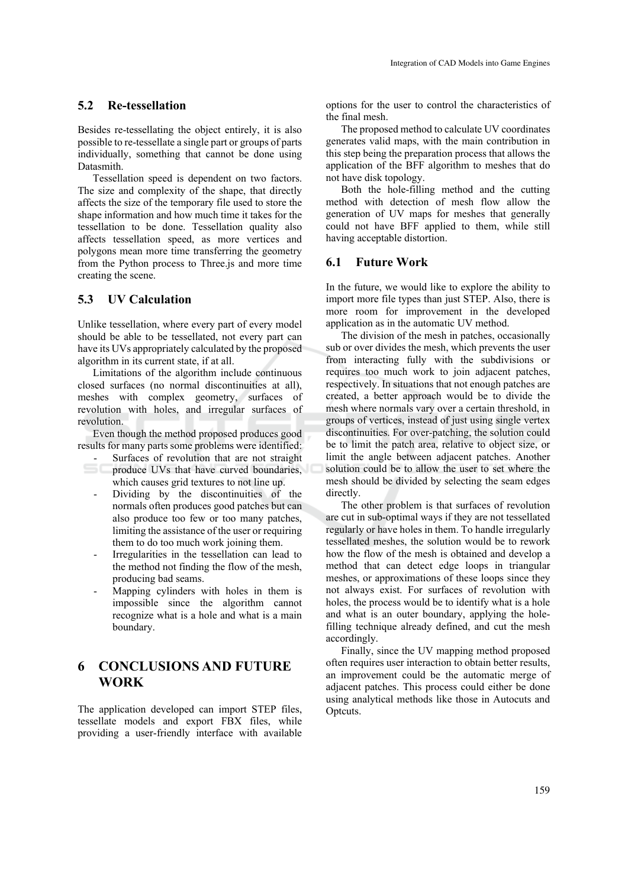#### **5.2 Re-tessellation**

Besides re-tessellating the object entirely, it is also possible to re-tessellate a single part or groups of parts individually, something that cannot be done using Datasmith.

Tessellation speed is dependent on two factors. The size and complexity of the shape, that directly affects the size of the temporary file used to store the shape information and how much time it takes for the tessellation to be done. Tessellation quality also affects tessellation speed, as more vertices and polygons mean more time transferring the geometry from the Python process to Three.js and more time creating the scene.

#### **5.3 UV Calculation**

Unlike tessellation, where every part of every model should be able to be tessellated, not every part can have its UVs appropriately calculated by the proposed algorithm in its current state, if at all.

Limitations of the algorithm include continuous closed surfaces (no normal discontinuities at all), meshes with complex geometry, surfaces of revolution with holes, and irregular surfaces of revolution.

Even though the method proposed produces good results for many parts some problems were identified:

Surfaces of revolution that are not straight produce UVs that have curved boundaries,

which causes grid textures to not line up.

- Dividing by the discontinuities of the normals often produces good patches but can also produce too few or too many patches, limiting the assistance of the user or requiring them to do too much work joining them.
- Irregularities in the tessellation can lead to the method not finding the flow of the mesh, producing bad seams.
- Mapping cylinders with holes in them is impossible since the algorithm cannot recognize what is a hole and what is a main boundary.

## **6 CONCLUSIONS AND FUTURE WORK**

The application developed can import STEP files, tessellate models and export FBX files, while providing a user-friendly interface with available

options for the user to control the characteristics of the final mesh.

The proposed method to calculate UV coordinates generates valid maps, with the main contribution in this step being the preparation process that allows the application of the BFF algorithm to meshes that do not have disk topology.

Both the hole-filling method and the cutting method with detection of mesh flow allow the generation of UV maps for meshes that generally could not have BFF applied to them, while still having acceptable distortion.

#### **6.1 Future Work**

In the future, we would like to explore the ability to import more file types than just STEP. Also, there is more room for improvement in the developed application as in the automatic UV method.

The division of the mesh in patches, occasionally sub or over divides the mesh, which prevents the user from interacting fully with the subdivisions or requires too much work to join adjacent patches, respectively. In situations that not enough patches are created, a better approach would be to divide the mesh where normals vary over a certain threshold, in groups of vertices, instead of just using single vertex discontinuities. For over-patching, the solution could be to limit the patch area, relative to object size, or limit the angle between adjacent patches. Another solution could be to allow the user to set where the mesh should be divided by selecting the seam edges directly.

The other problem is that surfaces of revolution are cut in sub-optimal ways if they are not tessellated regularly or have holes in them. To handle irregularly tessellated meshes, the solution would be to rework how the flow of the mesh is obtained and develop a method that can detect edge loops in triangular meshes, or approximations of these loops since they not always exist. For surfaces of revolution with holes, the process would be to identify what is a hole and what is an outer boundary, applying the holefilling technique already defined, and cut the mesh accordingly.

Finally, since the UV mapping method proposed often requires user interaction to obtain better results, an improvement could be the automatic merge of adjacent patches. This process could either be done using analytical methods like those in Autocuts and Optcuts.